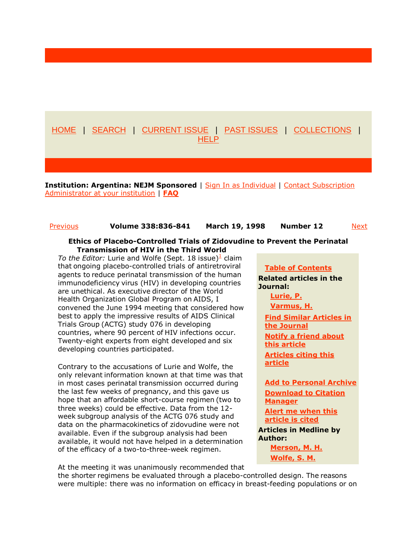# [HOME](http://content.nejm.org/) | [SEARCH](http://content.nejm.org/search.dtl) | [CURRENT ISSUE](http://content.nejm.org/current.shtml) | [PAST ISSUES](http://content.nejm.org/contents-by-date.0.shtml) | [COLLECTIONS](http://content.nejm.org/collections/) | **[HELP](http://content.nejm.org/help/)**

**Institution: Argentina: NEJM Sponsored** | [Sign In as Individual](http://content.nejm.org/cgi/login?uri=%2Fcgi%2Fcontent%2Ffull%2F338%2F12%2F836%3Fijkey%3Df911fb8b13d69e0b07025df2cfd4908b6f8955b9%26keytype2%3Dtf_ipsecsha) | Contact Subscription [Administrator at your institution](mailto:defaultaddress@nejm.org) | [FAQ](http://content.nejm.org/subscriptions/institutional-faq.shtml)

# [Previous](http://content.nejm.org/cgi/content/short/338/12/834) **Volume 338:836-841 March 19, 1998 Number 12** [Next](http://content.nejm.org/cgi/content/short/338/12/841)

## Ethics of Placebo-Controlled Trials of Zidovudine to Prevent the Perinatal Transmission of HIV in the Third World

To the Editor: Lurie and Wolfe (Sept. 18 issue)<sup>1</sup> claim that ongoing placebo-controlled trials of antiretroviral agents to reduce perinatal transmission of the human immunodeficiency virus (HIV) in developing countries are unethical. As executive director of the World Health Organization Global Program on AIDS, I convened the June 1994 meeting that considered how best to apply the impressive results of AIDS Clinical Trials Group (ACTG) study 076 in developing countries, where 90 percent of HIV infections occur. Twenty-eight experts from eight developed and six developing countries participated.

Contrary to the accusations of Lurie and Wolfe, the only relevant information known at that time was that in most cases perinatal transmission occurred during the last few weeks of pregnancy, and this gave us hope that an affordable short-course regimen (two to three weeks) could be effective. Data from the 12 week subgroup analysis of the ACTG 076 study and data on the pharmacokinetics of zidovudine were not available. Even if the subgroup analysis had been available, it would not have helped in a determination of the efficacy of a two-to-three-week regimen.

## [Table of Contents](http://content.nejm.org/content/vol338/issue12/index.shtml)

Related articles in the Journal:

[Lurie, P.](http://content.nejm.org/cgi/content/short/337/12/853)

[Varmus, H.](http://content.nejm.org/cgi/content/short/337/14/1003)

[Find Similar Articles in](http://content.nejm.org/cgi/search?qbe=nejm;338/12/836&journalcode=nejm&minscore=5000)  [the Journal](http://content.nejm.org/cgi/search?qbe=nejm;338/12/836&journalcode=nejm&minscore=5000) [Notify a friend about](http://content.nejm.org/cgi/mailafriend?url=http://content.nejm.org/cgi/content/short/338/12/836&title=Ethics+of+Placebo-Controlled+Trials+of+Zidovudine+to+Prevent+the+Perinatal+Transmission+of+HIV+in+the+Third+World)  [this article](http://content.nejm.org/cgi/mailafriend?url=http://content.nejm.org/cgi/content/short/338/12/836&title=Ethics+of+Placebo-Controlled+Trials+of+Zidovudine+to+Prevent+the+Perinatal+Transmission+of+HIV+in+the+Third+World) Articles citing this article

[Add to Personal Archive](http://content.nejm.org/cgi/folders?action=addtofolder&wherefrom=JOURNALS&wrapped_id=nejm;338/12/836) [Download to Citation](http://content.nejm.org/cgi/citmgr?gca=nejm;338/12/836)  **[Manager](http://content.nejm.org/cgi/citmgr?gca=nejm;338/12/836)** [Alert me when this](http://content.nejm.org/cgi/alerts/ctalert?alertType=citedby&addAlert=cited_by&saveAlert=no&cited_by_criteria_resid=nejm;338/12/836&return_type=article&return_url=%2Fcgi%2Fcontent%2Ffull%2F338%2F12%2F836%3Fijkey%3Df911fb8b13d69e0b07025df2cfd490)  [article is cited](http://content.nejm.org/cgi/alerts/ctalert?alertType=citedby&addAlert=cited_by&saveAlert=no&cited_by_criteria_resid=nejm;338/12/836&return_type=article&return_url=%2Fcgi%2Fcontent%2Ffull%2F338%2F12%2F836%3Fijkey%3Df911fb8b13d69e0b07025df2cfd490) Articles in Medline by Author: [Merson, M. H.](http://content.nejm.org/cgi/external_ref?access_num=Merson+MH&link_type=AUTHORSEARCH)

[Wolfe, S. M.](http://content.nejm.org/cgi/external_ref?access_num=Wolfe+SM&link_type=AUTHORSEARCH)

At the meeting it was unanimously recommended that

the shorter regimens be evaluated through a placebo-controlled design. The reasons were multiple: there was no information on efficacy in breast-feeding populations or on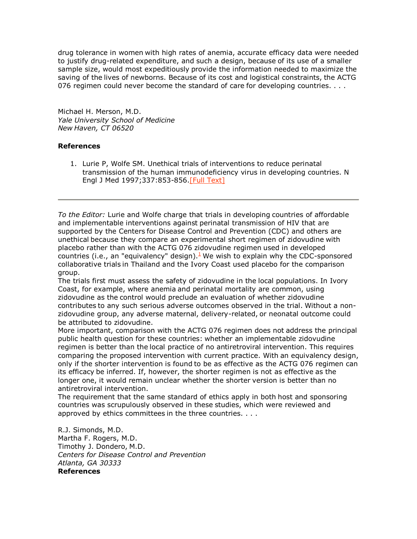drug tolerance in women with high rates of anemia, accurate efficacy data were needed to justify drug-related expenditure, and such a design, because of its use of a smaller sample size, would most expeditiously provide the information needed to maximize the saving of the lives of newborns. Because of its cost and logistical constraints, the ACTG 076 regimen could never become the standard of care for developing countries. . . .

Michael H. Merson, M.D. *Yale University School of Medicine New Haven, CT 06520*

# References

1. Lurie P, Wolfe SM. Unethical trials of interventions to reduce perinatal transmission of the human immunodeficiency virus in developing countries. N Engl J Med 1997;337:853-856.[Full [Text\]](http://content.nejm.org/cgi/ijlink?linkType=FULL&journalCode=nejm&resid=337/12/853)

*To the Editor:* Lurie and Wolfe charge that trials in developing countries of affordable and implementable interventions against perinatal transmission of HIV that are supported by the Centers for Disease Control and Prevention (CDC) and others are unethical because they compare an experimental short regimen of zidovudine with placebo rather than with the ACTG 076 zidovudine regimen used in developed countries (i.e., an "equivalency" design). $\frac{1}{2}$  We wish to explain why the CDC-sponsored collaborative trials in Thailand and the Ivory Coast used placebo for the comparison group.

The trials first must assess the safety of zidovudine in the local populations. In Ivory Coast, for example, where anemia and perinatal mortality are common, using zidovudine as the control would preclude an evaluation of whether zidovudine contributes to any such serious adverse outcomes observed in the trial. Without a nonzidovudine group, any adverse maternal, delivery-related, or neonatal outcome could be attributed to zidovudine.

More important, comparison with the ACTG 076 regimen does not address the principal public health question for these countries: whether an implementable zidovudine regimen is better than the local practice of no antiretroviral intervention. This requires comparing the proposed intervention with current practice. With an equivalency design, only if the shorter intervention is found to be as effective as the ACTG 076 regimen can its efficacy be inferred. If, however, the shorter regimen is not as effective as the longer one, it would remain unclear whether the shorter version is better than no antiretroviral intervention.

The requirement that the same standard of ethics apply in both host and sponsoring countries was scrupulously observed in these studies, which were reviewed and approved by ethics committees in the three countries. . . .

R.J. Simonds, M.D. Martha F. Rogers, M.D. Timothy J. Dondero, M.D. *Centers for Disease Control and Prevention Atlanta, GA 30333* References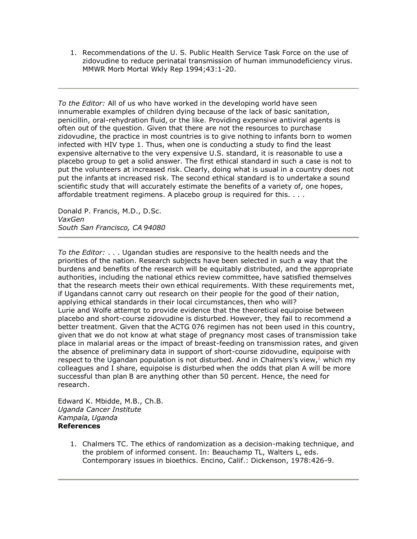1. Recommendations of the U. S. Public Health Service Task Force on the use of zidovudine to reduce perinatal transmission of human immunodeficiency virus. MMWR Morb Mortal Wkly Rep 1994;43:1-20.

*To the Editor:* All of us who have worked in the developing world have seen innumerable examples of children dying because of the lack of basic sanitation, penicillin, oral-rehydration fluid, or the like. Providing expensive antiviral agents is often out of the question. Given that there are not the resources to purchase zidovudine, the practice in most countries is to give nothing to infants born to women infected with HIV type 1. Thus, when one is conducting a study to find the least expensive alternative to the very expensive U.S. standard, it is reasonable to use a placebo group to get a solid answer. The first ethical standard in such a case is not to put the volunteers at increased risk. Clearly, doing what is usual in a country does not put the infants at increased risk. The second ethical standard is to undertake a sound scientific study that will accurately estimate the benefits of a variety of, one hopes, affordable treatment regimens. A placebo group is required for this. . . .

Donald P. Francis, M.D., D.Sc. *VaxGen South San Francisco, CA 94080*

*To the Editor:* . . . Ugandan studies are responsive to the health needs and the priorities of the nation. Research subjects have been selected in such a way that the burdens and benefits of the research will be equitably distributed, and the appropriate authorities, including the national ethics review committee, have satisfied themselves that the research meets their own ethical requirements. With these requirements met, if Ugandans cannot carry out research on their people for the good of their nation, applying ethical standards in their local circumstances, then who will? Lurie and Wolfe attempt to provide evidence that the theoretical equipoise between placebo and short-course zidovudine is disturbed. However, they fail to recommend a better treatment. Given that the ACTG 076 regimen has not been used in this country, given that we do not know at what stage of pregnancy most cases of transmission take place in malarial areas or the impact of breast-feeding on transmission rates, and given the absence of preliminary data in support of short-course zidovudine, equipoise with respect to the Ugandan population is not disturbed. And in Chalmers's view, $\frac{1}{2}$  which my colleagues and I share, equipoise is disturbed when the odds that plan A will be more successful than plan B are anything other than 50 percent. Hence, the need for research.

Edward K. Mbidde, M.B., Ch.B. *Uganda Cancer Institute Kampala, Uganda* References

> 1. Chalmers TC. The ethics of randomization as a decision-making technique, and the problem of informed consent. In: Beauchamp TL, Walters L, eds. Contemporary issues in bioethics. Encino, Calif.: Dickenson, 1978:426-9.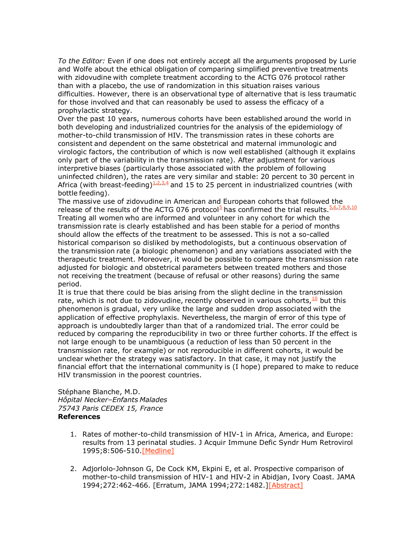*To the Editor:* Even if one does not entirely accept all the arguments proposed by Lurie and Wolfe about the ethical obligation of comparing simplified preventive treatments with zidovudine with complete treatment according to the ACTG 076 protocol rather than with a placebo, the use of randomization in this situation raises various difficulties. However, there is an observational type of alternative that is less traumatic for those involved and that can reasonably be used to assess the efficacy of a prophylactic strategy.

Over the past 10 years, numerous cohorts have been established around the world in both developing and industrialized countries for the analysis of the epidemiology of mother-to-child transmission of HIV. The transmission rates in these cohorts are consistent and dependent on the same obstetrical and maternal immunologic and virologic factors, the contribution of which is now well established (although it explains only part of the variability in the transmission rate). After adjustment for various interpretive biases (particularly those associated with the problem of following uninfected children), the rates are very similar and stable: 20 percent to 30 percent in Africa (with breast-feeding) $1,2,3,4$  and 15 to 25 percent in industrialized countries (with bottle feeding).

The massive use of zidovudine in American and European cohorts that followed the release of the results of the ACTG 076 protocol<sup>5</sup> has confirmed the trial results.<sup>5,6,7,8,9,10</sup> Treating all women who are informed and volunteer in any cohort for which the transmission rate is clearly established and has been stable for a period of months should allow the effects of the treatment to be assessed. This is not a so-called historical comparison so disliked by methodologists, but a continuous observation of the transmission rate (a biologic phenomenon) and any variations associated with the therapeutic treatment. Moreover, it would be possible to compare the transmission rate adjusted for biologic and obstetrical parameters between treated mothers and those not receiving the treatment (because of refusal or other reasons) during the same period.

It is true that there could be bias arising from the slight decline in the transmission rate, which is not due to zidovudine, recently observed in various cohorts, $\frac{10}{10}$  but this phenomenon is gradual, very unlike the large and sudden drop associated with the application of effective prophylaxis. Nevertheless, the margin of error of this type of approach is undoubtedly larger than that of a randomized trial. The error could be reduced by comparing the reproducibility in two or three further cohorts. If the effect is not large enough to be unambiguous (a reduction of less than 50 percent in the transmission rate, for example) or not reproducible in different cohorts, it would be unclear whether the strategy was satisfactory. In that case, it may not justify the financial effort that the international community is (I hope) prepared to make to reduce HIV transmission in the poorest countries.

Stéphane Blanche, M.D. *Hôpital Necker–Enfants Malades 75743 Paris CEDEX 15, France* References

- 1. Rates of mother-to-child transmission of HIV-1 in Africa, America, and Europe: results from 13 perinatal studies. J Acquir Immune Defic Syndr Hum Retrovirol 1995;8:506-510[.\[Medline\]](http://content.nejm.org/cgi/external_ref?access_num=7697448&link_type=MED)
- 2. Adjorlolo-Johnson G, De Cock KM, Ekpini E, et al. Prospective comparison of mother-to-child transmission of HIV-1 and HIV-2 in Abidjan, Ivory Coast. JAMA 1994;272:462-466. [Erratum, JAMA 1994;272:1482.[\]\[Abstract\]](http://content.nejm.org/cgi/ijlink?linkType=ABST&journalCode=jama&resid=272/6/462)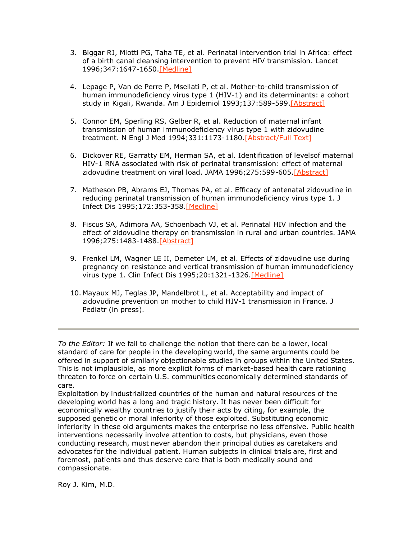- 3. Biggar RJ, Miotti PG, Taha TE, et al. Perinatal intervention trial in Africa: effect of a birth canal cleansing intervention to prevent HIV transmission. Lancet 1996;347:1647-1650[.\[Medline\]](http://content.nejm.org/cgi/external_ref?access_num=8642957&link_type=MED)
- 4. Lepage P, Van de Perre P, Msellati P, et al. Mother-to-child transmission of human immunodeficiency virus type 1 (HIV-1) and its determinants: a cohort study in Kigali, Rwanda. Am J Epidemiol 1993;137:589-599[.\[Abstract\]](http://content.nejm.org/cgi/ijlink?linkType=ABST&journalCode=amjepid&resid=137/6/589)
- 5. Connor EM, Sperling RS, Gelber R, et al. Reduction of maternal infant transmission of human immunodeficiency virus type 1 with zidovudine treatment. N Engl J Med 1994;331:1173-1180[.\[Abstract/Full](http://content.nejm.org/cgi/ijlink?linkType=ABST&journalCode=nejm&resid=331/18/1173) Text]
- 6. Dickover RE, Garratty EM, Herman SA, et al. Identification of levelsof maternal HIV-1 RNA associated with risk of perinatal transmission: effect of maternal zidovudine treatment on viral load. JAMA 1996;275:599-605[.\[Abstract\]](http://content.nejm.org/cgi/ijlink?linkType=ABST&journalCode=jama&resid=275/8/599)
- 7. Matheson PB, Abrams EJ, Thomas PA, et al. Efficacy of antenatal zidovudine in reducing perinatal transmission of human immunodeficiency virus type 1. J Infect Dis 1995;172:353-358[.\[Medline\]](http://content.nejm.org/cgi/external_ref?access_num=7622877&link_type=MED)
- 8. Fiscus SA, Adimora AA, Schoenbach VJ, et al. Perinatal HIV infection and the effect of zidovudine therapy on transmission in rural and urban countries. JAMA 1996;275:1483-1488[.\[Abstract\]](http://content.nejm.org/cgi/ijlink?linkType=ABST&journalCode=jama&resid=275/19/1483)
- 9. Frenkel LM, Wagner LE II, Demeter LM, et al. Effects of zidovudine use during pregnancy on resistance and vertical transmission of human immunodeficiency virus type 1. Clin Infect Dis 1995;20:1321-1326[.\[Medline\]](http://content.nejm.org/cgi/external_ref?access_num=7620018&link_type=MED)
- 10. Mayaux MJ, Teglas JP, Mandelbrot L, et al. Acceptability and impact of zidovudine prevention on mother to child HIV-1 transmission in France. J Pediatr (in press).

*To the Editor:* If we fail to challenge the notion that there can be a lower, local standard of care for people in the developing world, the same arguments could be offered in support of similarly objectionable studies in groups within the United States. This is not implausible, as more explicit forms of market-based health care rationing threaten to force on certain U.S. communities economically determined standards of care.

Exploitation by industrialized countries of the human and natural resources of the developing world has a long and tragic history. It has never been difficult for economically wealthy countries to justify their acts by citing, for example, the supposed genetic or moral inferiority of those exploited. Substituting economic inferiority in these old arguments makes the enterprise no less offensive. Public health interventions necessarily involve attention to costs, but physicians, even those conducting research, must never abandon their principal duties as caretakers and advocates for the individual patient. Human subjects in clinical trials are, first and foremost, patients and thus deserve care that is both medically sound and compassionate.

Roy J. Kim, M.D.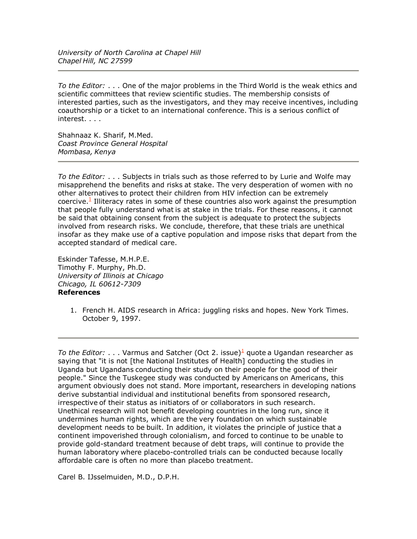*University of North Carolina at Chapel Hill Chapel Hill, NC 27599*

*To the Editor:* . . . One of the major problems in the Third World is the weak ethics and scientific committees that review scientific studies. The membership consists of interested parties, such as the investigators, and they may receive incentives, including coauthorship or a ticket to an international conference. This is a serious conflict of interest. . . .

Shahnaaz K. Sharif, M.Med. *Coast Province General Hospital Mombasa, Kenya*

*To the Editor:* . . . Subjects in trials such as those referred to by Lurie and Wolfe may misapprehend the benefits and risks at stake. The very desperation of women with no other alternatives to protect their children from HIV infection can be extremely coercive.<sup>1</sup> Illiteracy rates in some of these countries also work against the presumption that people fully understand what is at stake in the trials. For these reasons, it cannot be said that obtaining consent from the subject is adequate to protect the subjects involved from research risks. We conclude, therefore, that these trials are unethical insofar as they make use of a captive population and impose risks that depart from the accepted standard of medical care.

Eskinder Tafesse, M.H.P.E. Timothy F. Murphy, Ph.D. *University of Illinois at Chicago Chicago, IL 60612-7309* References

> 1. French H. AIDS research in Africa: juggling risks and hopes. New York Times. October 9, 1997.

*To the Editor:* . . . Varmus and Satcher (Oct 2. issue)<sup>1</sup> quote a Ugandan researcher as saying that "it is not [the National Institutes of Health] conducting the studies in Uganda but Ugandans conducting their study on their people for the good of their people." Since the Tuskegee study was conducted by Americans on Americans, this argument obviously does not stand. More important, researchers in developing nations derive substantial individual and institutional benefits from sponsored research, irrespective of their status as initiators of or collaborators in such research. Unethical research will not benefit developing countries in the long run, since it undermines human rights, which are the very foundation on which sustainable development needs to be built. In addition, it violates the principle of justice that a continent impoverished through colonialism, and forced to continue to be unable to provide gold-standard treatment because of debt traps, will continue to provide the human laboratory where placebo-controlled trials can be conducted because locally affordable care is often no more than placebo treatment.

Carel B. IJsselmuiden, M.D., D.P.H.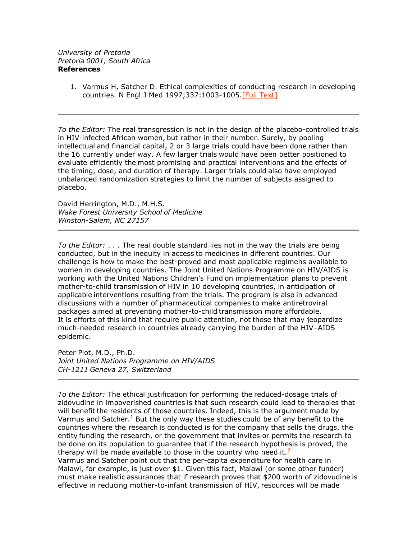1. Varmus H, Satcher D. Ethical complexities of conducting research in developing countries. N Engl J Med 1997;337:1003-1005.[Full [Text\]](http://content.nejm.org/cgi/ijlink?linkType=FULL&journalCode=nejm&resid=337/14/1003)

*To the Editor:* The real transgression is not in the design of the placebo-controlled trials in HIV-infected African women, but rather in their number. Surely, by pooling intellectual and financial capital, 2 or 3 large trials could have been done rather than the 16 currently under way. A few larger trials would have been better positioned to evaluate efficiently the most promising and practical interventions and the effects of the timing, dose, and duration of therapy. Larger trials could also have employed unbalanced randomization strategies to limit the number of subjects assigned to placebo.

David Herrington, M.D., M.H.S. *Wake Forest University School of Medicine Winston-Salem, NC 27157*

*To the Editor:* . . . The real double standard lies not in the way the trials are being conducted, but in the inequity in access to medicines in different countries. Our challenge is how to make the best-proved and most applicable regimens available to women in developing countries. The Joint United Nations Programme on HIV/AIDS is working with the United Nations Children's Fund on implementation plans to prevent mother-to-child transmission of HIV in 10 developing countries, in anticipation of applicable interventions resulting from the trials. The program is also in advanced discussions with a number of pharmaceutical companies to make antiretroviral packages aimed at preventing mother-to-child transmission more affordable. It is efforts of this kind that require public attention, not those that may jeopardize much-needed research in countries already carrying the burden of the HIV–AIDS epidemic.

Peter Piot, M.D., Ph.D. *Joint United Nations Programme on HIV/AIDS CH-1211 Geneva 27, Switzerland*

*To the Editor:* The ethical justification for performing the reduced-dosage trials of zidovudine in impoverished countries is that such research could lead to therapies that will benefit the residents of those countries. Indeed, this is the argument made by Varmus and Satcher. $\frac{1}{2}$  But the only way these studies could be of any benefit to the countries where the research is conducted is for the company that sells the drugs, the entity funding the research, or the government that invites or permits the research to be done on its population to guarantee that if the research hypothesis is proved, the therapy will be made available to those in the country who need it.  $\leq$ Varmus and Satcher point out that the per-capita expenditure for health care in Malawi, for example, is just over \$1. Given this fact, Malawi (or some other funder) must make realistic assurances that if research proves that \$200 worth of zidovudine is

effective in reducing mother-to-infant transmission of HIV, resources will be made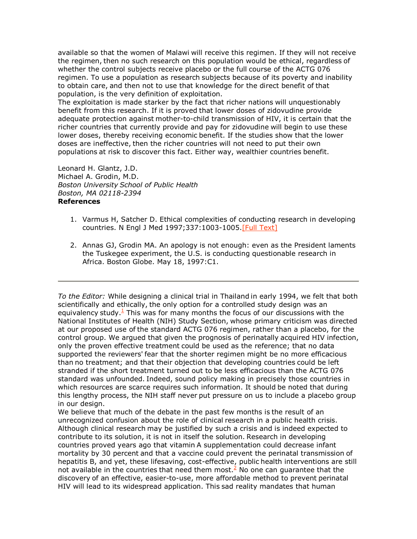available so that the women of Malawi will receive this regimen. If they will not receive the regimen, then no such research on this population would be ethical, regardless of whether the control subjects receive placebo or the full course of the ACTG 076 regimen. To use a population as research subjects because of its poverty and inability to obtain care, and then not to use that knowledge for the direct benefit of that population, is the very definition of exploitation.

The exploitation is made starker by the fact that richer nations will unquestionably benefit from this research. If it is proved that lower doses of zidovudine provide adequate protection against mother-to-child transmission of HIV, it is certain that the richer countries that currently provide and pay for zidovudine will begin to use these lower doses, thereby receiving economic benefit. If the studies show that the lower doses are ineffective, then the richer countries will not need to put their own populations at risk to discover this fact. Either way, wealthier countries benefit.

Leonard H. Glantz, J.D. Michael A. Grodin, M.D. *Boston University School of Public Health Boston, MA 02118-2394* References

- 1. Varmus H, Satcher D. Ethical complexities of conducting research in developing countries. N Engl J Med 1997;337:1003-1005.[Full [Text\]](http://content.nejm.org/cgi/ijlink?linkType=FULL&journalCode=nejm&resid=337/14/1003)
- 2. Annas GJ, Grodin MA. An apology is not enough: even as the President laments the Tuskegee experiment, the U.S. is conducting questionable research in Africa. Boston Globe. May 18, 1997:C1.

*To the Editor:* While designing a clinical trial in Thailand in early 1994, we felt that both scientifically and ethically, the only option for a controlled study design was an equivalency study. $<sup>1</sup>$  This was for many months the focus of our discussions with the</sup> National Institutes of Health (NIH) Study Section, whose primary criticism was directed at our proposed use of the standard ACTG 076 regimen, rather than a placebo, for the control group. We argued that given the prognosis of perinatally acquired HIV infection, only the proven effective treatment could be used as the reference; that no data supported the reviewers' fear that the shorter regimen might be no more efficacious than no treatment; and that their objection that developing countries could be left stranded if the short treatment turned out to be less efficacious than the ACTG 076 standard was unfounded. Indeed, sound policy making in precisely those countries in which resources are scarce requires such information. It should be noted that during this lengthy process, the NIH staff never put pressure on us to include a placebo group in our design.

We believe that much of the debate in the past few months is the result of an unrecognized confusion about the role of clinical research in a public health crisis. Although clinical research may be justified by such a crisis and is indeed expected to contribute to its solution, it is not in itself the solution. Research in developing countries proved years ago that vitamin A supplementation could decrease infant mortality by 30 percent and that a vaccine could prevent the perinatal transmission of hepatitis B, and yet, these lifesaving, cost-effective, public health interventions are still not available in the countries that need them most. $<sup>2</sup>$  No one can guarantee that the</sup> discovery of an effective, easier-to-use, more affordable method to prevent perinatal HIV will lead to its widespread application. This sad reality mandates that human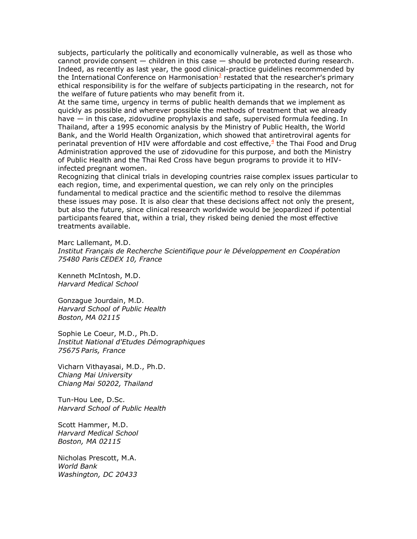subjects, particularly the politically and economically vulnerable, as well as those who cannot provide consent — children in this case — should be protected during research. Indeed, as recently as last year, the good clinical-practice guidelines recommended by the International Conference on Harmonisation<sup>3</sup> restated that the researcher's primary ethical responsibility is for the welfare of subjects participating in the research, not for the welfare of future patients who may benefit from it.

At the same time, urgency in terms of public health demands that we implement as quickly as possible and wherever possible the methods of treatment that we already have — in this case, zidovudine prophylaxis and safe, supervised formula feeding. In Thailand, after a 1995 economic analysis by the Ministry of Public Health, the World Bank, and the World Health Organization, which showed that antiretroviral agents for perinatal prevention of HIV were affordable and cost effective,<sup>4</sup> the Thai Food and Drug Administration approved the use of zidovudine for this purpose, and both the Ministry of Public Health and the Thai Red Cross have begun programs to provide it to HIVinfected pregnant women.

Recognizing that clinical trials in developing countries raise complex issues particular to each region, time, and experimental question, we can rely only on the principles fundamental to medical practice and the scientific method to resolve the dilemmas these issues may pose. It is also clear that these decisions affect not only the present, but also the future, since clinical research worldwide would be jeopardized if potential participants feared that, within a trial, they risked being denied the most effective treatments available.

Marc Lallemant, M.D. *Institut Français de Recherche Scientifique pour le Développement en Coopération 75480 Paris CEDEX 10, France*

Kenneth McIntosh, M.D. *Harvard Medical School*

Gonzague Jourdain, M.D. *Harvard School of Public Health Boston, MA 02115*

Sophie Le Coeur, M.D., Ph.D. *Institut National d'Etudes Démographiques 75675 Paris, France*

Vicharn Vithayasai, M.D., Ph.D. *Chiang Mai University Chiang Mai 50202, Thailand*

Tun-Hou Lee, D.Sc. *Harvard School of Public Health*

Scott Hammer, M.D. *Harvard Medical School Boston, MA 02115*

Nicholas Prescott, M.A. *World Bank Washington, DC 20433*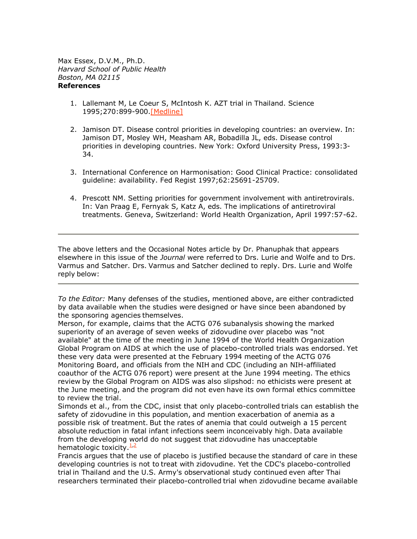Max Essex, D.V.M., Ph.D. *Harvard School of Public Health Boston, MA 02115* References

- 1. Lallemant M, Le Coeur S, McIntosh K. AZT trial in Thailand. Science 1995;270:899-900[.\[Medline\]](http://content.nejm.org/cgi/external_ref?access_num=7481781&link_type=MED)
- 2. Jamison DT. Disease control priorities in developing countries: an overview. In: Jamison DT, Mosley WH, Measham AR, Bobadilla JL, eds. Disease control priorities in developing countries. New York: Oxford University Press, 1993:3- 34.
- 3. International Conference on Harmonisation: Good Clinical Practice: consolidated guideline: availability. Fed Regist 1997;62:25691-25709.
- 4. Prescott NM. Setting priorities for government involvement with antiretrovirals. In: Van Praag E, Fernyak S, Katz A, eds. The implications of antiretroviral treatments. Geneva, Switzerland: World Health Organization, April 1997:57-62.

The above letters and the Occasional Notes article by Dr. Phanuphak that appears elsewhere in this issue of the *Journal* were referred to Drs. Lurie and Wolfe and to Drs. Varmus and Satcher. Drs. Varmus and Satcher declined to reply. Drs. Lurie and Wolfe reply below:

*To the Editor:* Many defenses of the studies, mentioned above, are either contradicted by data available when the studies were designed or have since been abandoned by the sponsoring agencies themselves.

Merson, for example, claims that the ACTG 076 subanalysis showing the marked superiority of an average of seven weeks of zidovudine over placebo was "not available" at the time of the meeting in June 1994 of the World Health Organization Global Program on AIDS at which the use of placebo-controlled trials was endorsed. Yet these very data were presented at the February 1994 meeting of the ACTG 076 Monitoring Board, and officials from the NIH and CDC (including an NIH-affiliated coauthor of the ACTG 076 report) were present at the June 1994 meeting. The ethics review by the Global Program on AIDS was also slipshod: no ethicists were present at the June meeting, and the program did not even have its own formal ethics committee to review the trial.

Simonds et al., from the CDC, insist that only placebo-controlled trials can establish the safety of zidovudine in this population, and mention exacerbation of anemia as a possible risk of treatment. But the rates of anemia that could outweigh a 15 percent absolute reduction in fatal infant infections seem inconceivably high. Data available from the developing world do not suggest that zidovudine has unacceptable hematologic toxicity. $\frac{1}{2}$ 

Francis argues that the use of placebo is justified because the standard of care in these developing countries is not to treat with zidovudine. Yet the CDC's placebo-controlled trial in Thailand and the U.S. Army's observational study continued even after Thai researchers terminated their placebo-controlled trial when zidovudine became available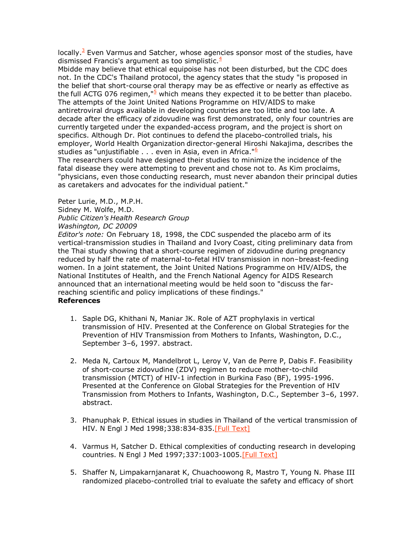locally. $3$  Even Varmus and Satcher, whose agencies sponsor most of the studies, have dismissed Francis's argument as too simplistic. $\frac{4}{3}$ 

Mbidde may believe that ethical equipoise has not been disturbed, but the CDC does not. In the CDC's Thailand protocol, the agency states that the study "is proposed in the belief that short-course oral therapy may be as effective or nearly as effective as the full ACTG 076 regimen," $\frac{5}{2}$  which means they expected it to be better than placebo. The attempts of the Joint United Nations Programme on HIV/AIDS to make antiretroviral drugs available in developing countries are too little and too late. A decade after the efficacy of zidovudine was first demonstrated, only four countries are currently targeted under the expanded-access program, and the project is short on specifics. Although Dr. Piot continues to defend the placebo-controlled trials, his employer, World Health Organization director-general Hiroshi Nakajima, describes the studies as "unjustifiable . . . even in Asia, even in Africa."<sup>6</sup>

The researchers could have designed their studies to minimize the incidence of the fatal disease they were attempting to prevent and chose not to. As Kim proclaims, "physicians, even those conducting research, must never abandon their principal duties as caretakers and advocates for the individual patient."

Peter Lurie, M.D., M.P.H. Sidney M. Wolfe, M.D. *Public Citizen's Health Research Group Washington, DC 20009*

*Editor's note:* On February 18, 1998, the CDC suspended the placebo arm of its vertical-transmission studies in Thailand and Ivory Coast, citing preliminary data from the Thai study showing that a short-course regimen of zidovudine during pregnancy reduced by half the rate of maternal-to-fetal HIV transmission in non–breast-feeding women. In a joint statement, the Joint United Nations Programme on HIV/AIDS, the National Institutes of Health, and the French National Agency for AIDS Research announced that an international meeting would be held soon to "discuss the farreaching scientific and policy implications of these findings."

# References

- 1. Saple DG, Khithani N, Maniar JK. Role of AZT prophylaxis in vertical transmission of HIV. Presented at the Conference on Global Strategies for the Prevention of HIV Transmission from Mothers to Infants, Washington, D.C., September 3–6, 1997. abstract.
- 2. Meda N, Cartoux M, Mandelbrot L, Leroy V, Van de Perre P, Dabis F. Feasibility of short-course zidovudine (ZDV) regimen to reduce mother-to-child transmission (MTCT) of HIV-1 infection in Burkina Faso (BF), 1995-1996. Presented at the Conference on Global Strategies for the Prevention of HIV Transmission from Mothers to Infants, Washington, D.C., September 3–6, 1997. abstract.
- 3. Phanuphak P. Ethical issues in studies in Thailand of the vertical transmission of HIV. N Engl J Med 1998;338:834-835.[Full [Text\]](http://content.nejm.org/cgi/ijlink?linkType=FULL&journalCode=nejm&resid=338/12/834)
- 4. Varmus H, Satcher D. Ethical complexities of conducting research in developing countries. N Engl J Med 1997;337:1003-1005.[Full [Text\]](http://content.nejm.org/cgi/ijlink?linkType=FULL&journalCode=nejm&resid=337/14/1003)
- 5. Shaffer N, Limpakarnjanarat K, Chuachoowong R, Mastro T, Young N. Phase III randomized placebo-controlled trial to evaluate the safety and efficacy of short